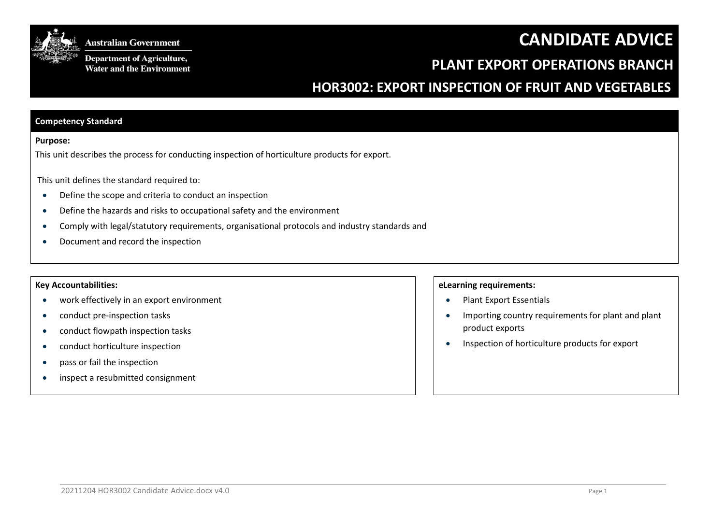



**Department of Agriculture,** Water and the Environment

# **PLANT EXPORT OPERATIONS BRANCH**

# **HOR3002: EXPORT INSPECTION OF FRUIT AND VEGETABLES**

## **Competency Standard**

#### **Purpose:**

This unit describes the process for conducting inspection of horticulture products for export.

This unit defines the standard required to:

- Define the scope and criteria to conduct an inspection
- Define the hazards and risks to occupational safety and the environment
- Comply with legal/statutory requirements, organisational protocols and industry standards and
- Document and record the inspection

### **Key Accountabilities:**

- work effectively in an export environment
- conduct pre-inspection tasks
- conduct flowpath inspection tasks
- conduct horticulture inspection
- pass or fail the inspection
- inspect a resubmitted consignment

## **eLearning requirements:**

- Plant Export Essentials
- Importing country requirements for plant and plant product exports
- Inspection of horticulture products for export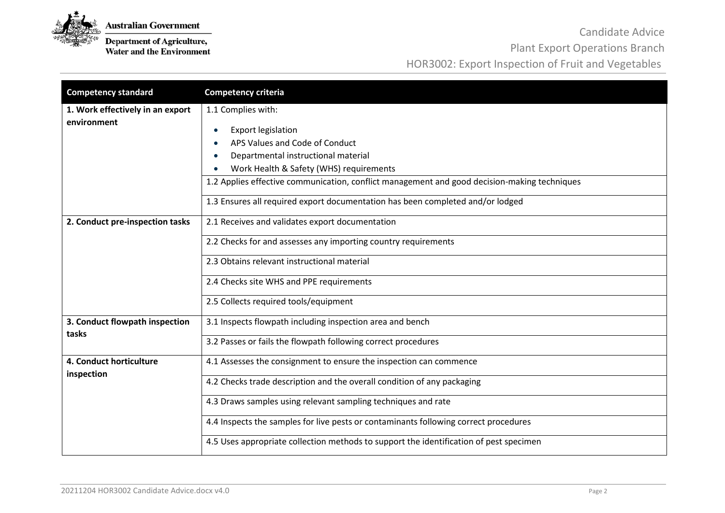

**Department of Agriculture,**<br>Water and the Environment

Candidate Advice

Plant Export Operations Branch

HOR3002: Export Inspection of Fruit and Vegetables

| <b>Competency standard</b>                      | <b>Competency criteria</b>                                                                                                                                                                                                                                                                                                                            |
|-------------------------------------------------|-------------------------------------------------------------------------------------------------------------------------------------------------------------------------------------------------------------------------------------------------------------------------------------------------------------------------------------------------------|
| 1. Work effectively in an export<br>environment | 1.1 Complies with:<br><b>Export legislation</b><br>APS Values and Code of Conduct<br>Departmental instructional material<br>Work Health & Safety (WHS) requirements<br>1.2 Applies effective communication, conflict management and good decision-making techniques<br>1.3 Ensures all required export documentation has been completed and/or lodged |
| 2. Conduct pre-inspection tasks                 | 2.1 Receives and validates export documentation                                                                                                                                                                                                                                                                                                       |
|                                                 | 2.2 Checks for and assesses any importing country requirements                                                                                                                                                                                                                                                                                        |
|                                                 | 2.3 Obtains relevant instructional material                                                                                                                                                                                                                                                                                                           |
|                                                 | 2.4 Checks site WHS and PPE requirements                                                                                                                                                                                                                                                                                                              |
|                                                 | 2.5 Collects required tools/equipment                                                                                                                                                                                                                                                                                                                 |
| 3. Conduct flowpath inspection                  | 3.1 Inspects flowpath including inspection area and bench                                                                                                                                                                                                                                                                                             |
| tasks                                           | 3.2 Passes or fails the flowpath following correct procedures                                                                                                                                                                                                                                                                                         |
| 4. Conduct horticulture<br>inspection           | 4.1 Assesses the consignment to ensure the inspection can commence                                                                                                                                                                                                                                                                                    |
|                                                 | 4.2 Checks trade description and the overall condition of any packaging                                                                                                                                                                                                                                                                               |
|                                                 | 4.3 Draws samples using relevant sampling techniques and rate                                                                                                                                                                                                                                                                                         |
|                                                 | 4.4 Inspects the samples for live pests or contaminants following correct procedures                                                                                                                                                                                                                                                                  |
|                                                 | 4.5 Uses appropriate collection methods to support the identification of pest specimen                                                                                                                                                                                                                                                                |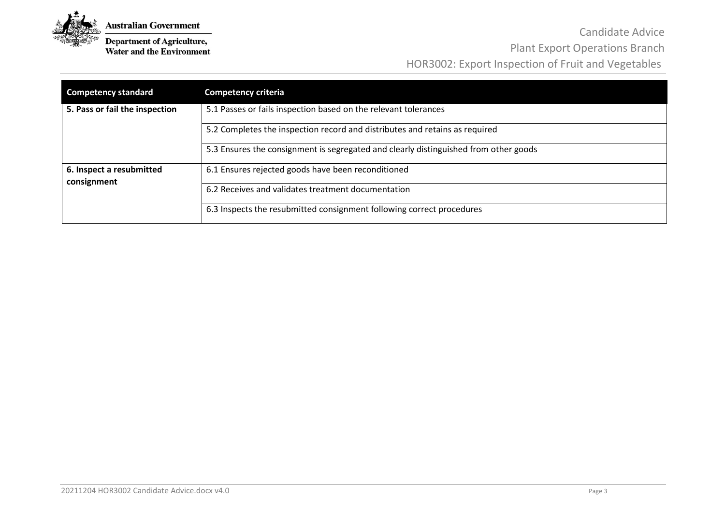

**Department of Agriculture,**<br>Water and the Environment

Candidate Advice Plant Export Operations Branch HOR3002: Export Inspection of Fruit and Vegetables

| <b>Competency standard</b>              | <b>Competency criteria</b>                                                           |
|-----------------------------------------|--------------------------------------------------------------------------------------|
| 5. Pass or fail the inspection          | 5.1 Passes or fails inspection based on the relevant tolerances                      |
|                                         | 5.2 Completes the inspection record and distributes and retains as required          |
|                                         | 5.3 Ensures the consignment is segregated and clearly distinguished from other goods |
| 6. Inspect a resubmitted<br>consignment | 6.1 Ensures rejected goods have been reconditioned                                   |
|                                         | 6.2 Receives and validates treatment documentation                                   |
|                                         | 6.3 Inspects the resubmitted consignment following correct procedures                |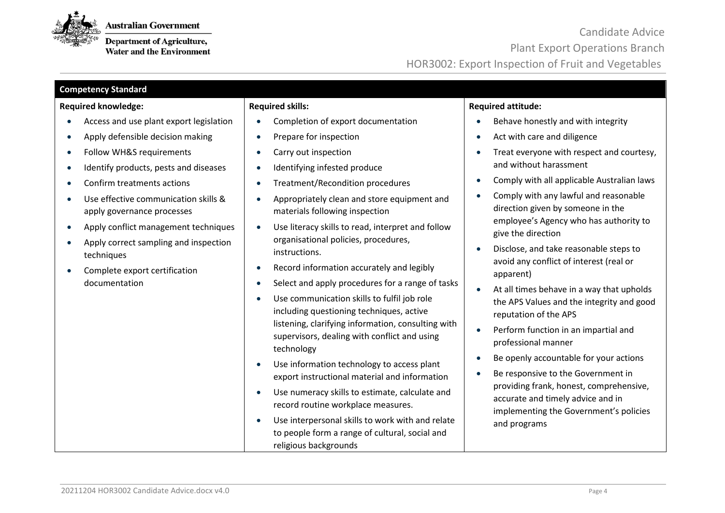

**Department of Agriculture,**<br>Water and the Environment

| <b>Competency Standard</b>                                         |                                                                                                                             |                                                                                                                        |  |  |  |  |
|--------------------------------------------------------------------|-----------------------------------------------------------------------------------------------------------------------------|------------------------------------------------------------------------------------------------------------------------|--|--|--|--|
| <b>Required knowledge:</b>                                         | <b>Required skills:</b>                                                                                                     | <b>Required attitude:</b>                                                                                              |  |  |  |  |
| Access and use plant export legislation                            | Completion of export documentation                                                                                          | Behave honestly and with integrity                                                                                     |  |  |  |  |
| Apply defensible decision making<br>$\bullet$                      | Prepare for inspection                                                                                                      | Act with care and diligence                                                                                            |  |  |  |  |
| Follow WH&S requirements<br>$\bullet$                              | Carry out inspection<br>$\bullet$                                                                                           | Treat everyone with respect and courtesy,<br>$\bullet$                                                                 |  |  |  |  |
| Identify products, pests and diseases<br>$\bullet$                 | Identifying infested produce                                                                                                | and without harassment                                                                                                 |  |  |  |  |
| Confirm treatments actions<br>$\bullet$                            | Treatment/Recondition procedures                                                                                            | Comply with all applicable Australian laws                                                                             |  |  |  |  |
| Use effective communication skills &<br>apply governance processes | Appropriately clean and store equipment and<br>materials following inspection                                               | Comply with any lawful and reasonable<br>$\bullet$<br>direction given by someone in the                                |  |  |  |  |
| Apply conflict management techniques<br>$\bullet$                  | Use literacy skills to read, interpret and follow                                                                           | employee's Agency who has authority to<br>give the direction                                                           |  |  |  |  |
| Apply correct sampling and inspection<br>$\bullet$<br>techniques   | organisational policies, procedures,<br>instructions.                                                                       | Disclose, and take reasonable steps to                                                                                 |  |  |  |  |
| Complete export certification                                      | Record information accurately and legibly                                                                                   | avoid any conflict of interest (real or<br>apparent)                                                                   |  |  |  |  |
| documentation                                                      | Select and apply procedures for a range of tasks<br>$\bullet$                                                               | At all times behave in a way that upholds                                                                              |  |  |  |  |
|                                                                    | Use communication skills to fulfil job role<br>including questioning techniques, active                                     | the APS Values and the integrity and good<br>reputation of the APS                                                     |  |  |  |  |
|                                                                    | listening, clarifying information, consulting with<br>supervisors, dealing with conflict and using<br>technology            | Perform function in an impartial and<br>$\bullet$<br>professional manner                                               |  |  |  |  |
|                                                                    | Use information technology to access plant                                                                                  | Be openly accountable for your actions                                                                                 |  |  |  |  |
|                                                                    | export instructional material and information                                                                               | Be responsive to the Government in                                                                                     |  |  |  |  |
|                                                                    | Use numeracy skills to estimate, calculate and<br>record routine workplace measures.                                        | providing frank, honest, comprehensive,<br>accurate and timely advice and in<br>implementing the Government's policies |  |  |  |  |
|                                                                    | Use interpersonal skills to work with and relate<br>to people form a range of cultural, social and<br>religious backgrounds | and programs                                                                                                           |  |  |  |  |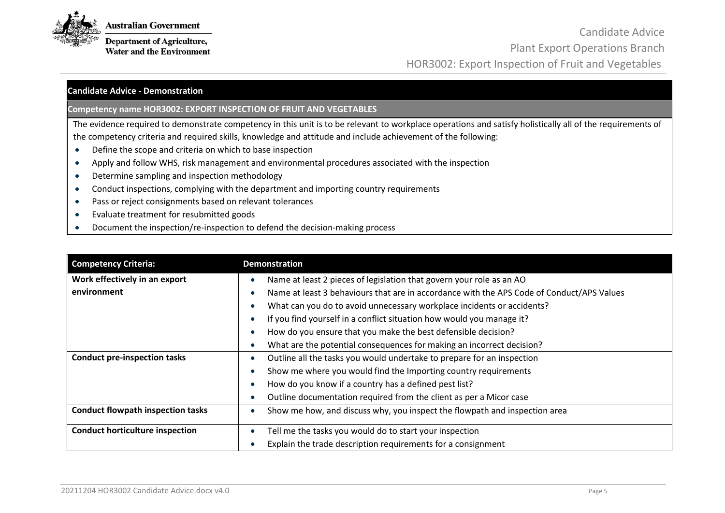

**Department of Agriculture, Water and the Environment** 

# **Candidate Advice - Demonstration**

**Competency name HOR3002: EXPORT INSPECTION OF FRUIT AND VEGETABLES**

The evidence required to demonstrate competency in this unit is to be relevant to workplace operations and satisfy holistically all of the requirements of the competency criteria and required skills, knowledge and attitude and include achievement of the following:

- Define the scope and criteria on which to base inspection
- Apply and follow WHS, risk management and environmental procedures associated with the inspection
- Determine sampling and inspection methodology
- Conduct inspections, complying with the department and importing country requirements
- Pass or reject consignments based on relevant tolerances
- Evaluate treatment for resubmitted goods
- Document the inspection/re-inspection to defend the decision-making process

| <b>Competency Criteria:</b>              | <b>Demonstration</b>                                                                      |  |  |  |
|------------------------------------------|-------------------------------------------------------------------------------------------|--|--|--|
| Work effectively in an export            | Name at least 2 pieces of legislation that govern your role as an AO                      |  |  |  |
| environment                              | Name at least 3 behaviours that are in accordance with the APS Code of Conduct/APS Values |  |  |  |
|                                          | What can you do to avoid unnecessary workplace incidents or accidents?                    |  |  |  |
|                                          | If you find yourself in a conflict situation how would you manage it?                     |  |  |  |
|                                          | How do you ensure that you make the best defensible decision?                             |  |  |  |
|                                          | What are the potential consequences for making an incorrect decision?                     |  |  |  |
| <b>Conduct pre-inspection tasks</b>      | Outline all the tasks you would undertake to prepare for an inspection                    |  |  |  |
|                                          | Show me where you would find the Importing country requirements                           |  |  |  |
|                                          | How do you know if a country has a defined pest list?                                     |  |  |  |
|                                          | Outline documentation required from the client as per a Micor case                        |  |  |  |
| <b>Conduct flowpath inspection tasks</b> | Show me how, and discuss why, you inspect the flowpath and inspection area                |  |  |  |
| <b>Conduct horticulture inspection</b>   | Tell me the tasks you would do to start your inspection                                   |  |  |  |
|                                          | Explain the trade description requirements for a consignment                              |  |  |  |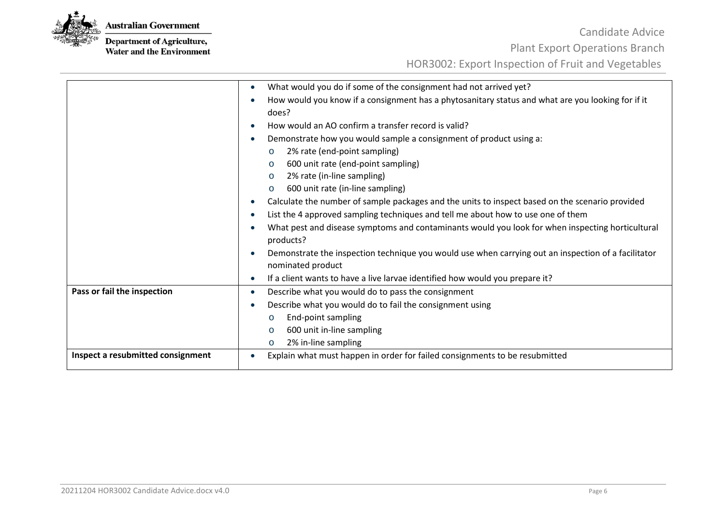

**Department of Agriculture,**<br>Water and the Environment

|                                   | What would you do if some of the consignment had not arrived yet?<br>$\bullet$                                           |  |  |
|-----------------------------------|--------------------------------------------------------------------------------------------------------------------------|--|--|
|                                   | How would you know if a consignment has a phytosanitary status and what are you looking for if it                        |  |  |
|                                   | does?                                                                                                                    |  |  |
|                                   | How would an AO confirm a transfer record is valid?                                                                      |  |  |
|                                   | Demonstrate how you would sample a consignment of product using a:                                                       |  |  |
|                                   | 2% rate (end-point sampling)<br>$\circ$                                                                                  |  |  |
|                                   | 600 unit rate (end-point sampling)<br>$\circ$                                                                            |  |  |
|                                   | 2% rate (in-line sampling)<br>$\circ$                                                                                    |  |  |
|                                   | 600 unit rate (in-line sampling)<br>$\circ$                                                                              |  |  |
|                                   | Calculate the number of sample packages and the units to inspect based on the scenario provided<br>$\bullet$             |  |  |
|                                   | List the 4 approved sampling techniques and tell me about how to use one of them                                         |  |  |
|                                   | What pest and disease symptoms and contaminants would you look for when inspecting horticultural<br>products?            |  |  |
|                                   | Demonstrate the inspection technique you would use when carrying out an inspection of a facilitator<br>nominated product |  |  |
|                                   | If a client wants to have a live larvae identified how would you prepare it?                                             |  |  |
| Pass or fail the inspection       | Describe what you would do to pass the consignment<br>$\bullet$                                                          |  |  |
|                                   | Describe what you would do to fail the consignment using                                                                 |  |  |
|                                   | End-point sampling<br>$\circ$                                                                                            |  |  |
|                                   | 600 unit in-line sampling<br>$\circ$                                                                                     |  |  |
|                                   | 2% in-line sampling<br>$\circ$                                                                                           |  |  |
| Inspect a resubmitted consignment | Explain what must happen in order for failed consignments to be resubmitted                                              |  |  |
|                                   |                                                                                                                          |  |  |